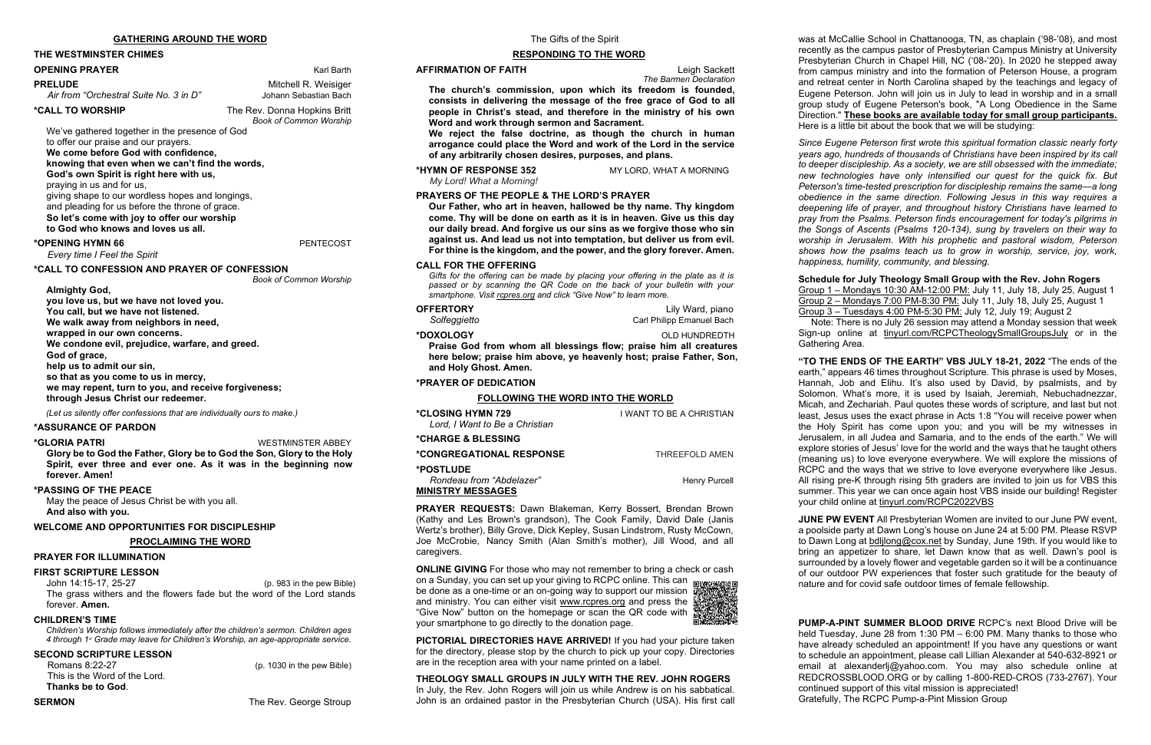### **THE WESTMINSTER CHIMES**

#### **OPENING PRAYER** Karl Barth

**PRELUDE** Mitchell R. Weisiger<br>Air from "Orchestral Suite No. 3 in D" Johann Sebastian Bach Air from "Orchestral Suite No. 3 in D"

**\*CALL TO WORSHIP** The Rev. Donna Hopkins Britt *Book of Common Worship*

We've gathered together in the presence of God to offer our praise and our prayers.

### **We come before God with confidence,**

**knowing that even when we can't find the words,**

**God's own Spirit is right here with us,**

praying in us and for us,

giving shape to our wordless hopes and longings, and pleading for us before the throne of grace.

**So let's come with joy to offer our worship**

**to God who knows and loves us all.**

#### **\*OPENING HYMN 66** PENTECOST

*Every time I Feel the Spirit*

#### **\*CALL TO CONFESSION AND PRAYER OF CONFESSION**

*Book of Common Worship*

**Almighty God, you love us, but we have not loved you. You call, but we have not listened. We walk away from neighbors in need, wrapped in our own concerns. We condone evil, prejudice, warfare, and greed. God of grace, help us to admit our sin, so that as you come to us in mercy, we may repent, turn to you, and receive forgiveness; through Jesus Christ our redeemer.**

*(Let us silently offer confessions that are individually ours to make.)*

#### **\*ASSURANCE OF PARDON**

**\*GLORIA PATRI** WESTMINSTER ABBEY

**Glory be to God the Father, Glory be to God the Son, Glory to the Holy Spirit, ever three and ever one. As it was in the beginning now forever. Amen!**

#### **\*PASSING OF THE PEACE**

May the peace of Jesus Christ be with you all. **And also with you.**

### **WELCOME AND OPPORTUNITIES FOR DISCIPLESHIP**

**PROCLAIMING THE WORD**

#### **PRAYER FOR ILLUMINATION**

#### **FIRST SCRIPTURE LESSON**

John 14:15-17, 25-27 (p. 983 in the pew Bible) The grass withers and the flowers fade but the word of the Lord stands forever. **Amen.**

**OFFERTORY** Lily Ward, piano *Solfeggietto* Carl Philipp Emanuel Bach

#### **CHILDREN'S TIME**

*Children's Worship follows immediately after the children's sermon. Children ages 4 through 1st Grade may leave for Children's Worship, an age-appropriate service.*

### **SECOND SCRIPTURE LESSON**

Romans 8:22-27 (p. 1030 in the pew Bible) This is the Word of the Lord. **Thanks be to God**.

**SERMON** The Rev. George Stroup

### **RESPONDING TO THE WORD**

#### **AFFIRMATION OF FAITH Leigh Sackett**

*The Barmen Declaration*

**The church's commission, upon which its freedom is founded, consists in delivering the message of the free grace of God to all people in Christ's stead, and therefore in the ministry of his own Word and work through sermon and Sacrament.**

**We reject the false doctrine, as though the church in human arrogance could place the Word and work of the Lord in the service of any arbitrarily chosen desires, purposes, and plans.**

**\*HYMN OF RESPONSE 352** MY LORD, WHAT A MORNING *My Lord! What a Morning!*

#### **PRAYERS OF THE PEOPLE & THE LORD'S PRAYER**

**Our Father, who art in heaven, hallowed be thy name. Thy kingdom come. Thy will be done on earth as it is in heaven. Give us this day our daily bread. And forgive us our sins as we forgive those who sin against us. And lead us not into temptation, but deliver us from evil. For thine is the kingdom, and the power, and the glory forever. Amen.**

#### **CALL FOR THE OFFERING**

*Gifts for the offering can be made by placing your offering in the plate as it is passed or by scanning the QR Code on the back of your bulletin with your smartphone. Visit [rcpres.org](http://rcpres.org/) and click "Give Now" to learn more.*

**\*DOXOLOGY** OLD HUNDREDTH

**Praise God from whom all blessings flow; praise him all creatures here below; praise him above, ye heavenly host; praise Father, Son, and Holy Ghost. Amen.**

### **\*PRAYER OF DEDICATION**

### **FOLLOWING THE WORD INTO THE WORLD**

| <i><b>*CLOSING HYMN 729</b></i><br>Lord, I Want to Be a Christian        | I WANT TO BE A CHRISTIAN |
|--------------------------------------------------------------------------|--------------------------|
| <i><b>*CHARGE &amp; BLESSING</b></i>                                     |                          |
| <i><b>*CONGREGATIONAL RESPONSE</b></i>                                   | THRFFFOI D AMFN          |
| <b>*POSTLUDE</b><br>Rondeau from "Abdelazer"<br><b>MINISTRY MESSAGES</b> | Henry Purcell            |

**PRAYER REQUESTS:** Dawn Blakeman, Kerry Bossert, Brendan Brown (Kathy and Les Brown's grandson), The Cook Family, David Dale (Janis Wertz's brother), Billy Grove, Dick Kepley, Susan Lindstrom, Rusty McCown, Joe McCrobie, Nancy Smith (Alan Smith's mother), Jill Wood, and all caregivers.

**ONLINE GIVING** For those who may not remember to bring a check or cash on a Sunday, you can set up your giving to RCPC online. This can be done as a one-time or an on-going way to support our mission  $\frac{3}{4}$ and ministry. You can either visit [www.rcpres.org](http://www.rcpres.org/) and press the "Give Now" button on the homepage or scan the QR code with

your smartphone to go directly to the donation page.



**PICTORIAL DIRECTORIES HAVE ARRIVED!** If you had your picture taken for the directory, please stop by the church to pick up your copy. Directories are in the reception area with your name printed on a label.

**THEOLOGY SMALL GROUPS IN JULY WITH THE REV. JOHN ROGERS** In July, the Rev. John Rogers will join us while Andrew is on his sabbatical. John is an ordained pastor in the Presbyterian Church (USA). His first call was at McCallie School in Chattanooga, TN, as chaplain ('98-'08), and most recently as the campus pastor of Presbyterian Campus Ministry at University Presbyterian Church in Chapel Hill, NC ('08-'20). In 2020 he stepped away from campus ministry and into the formation of Peterson House, a program and retreat center in North Carolina shaped by the teachings and legacy of Eugene Peterson. John will join us in July to lead in worship and in a small group study of Eugene Peterson's book, "A Long Obedience in the Same Direction." **These books are available today for small group participants.** Here is a little bit about the book that we will be studying:

*Since Eugene Peterson first wrote this spiritual formation classic nearly forty years ago, hundreds of thousands of Christians have been inspired by its call to deeper discipleship. As a society, we are still obsessed with the immediate; new technologies have only intensified our quest for the quick fix. But Peterson's time-tested prescription for discipleship remains the same―a long obedience in the same direction. Following Jesus in this way requires a deepening life of prayer, and throughout history Christians have learned to pray from the Psalms. Peterson finds encouragement for today's pilgrims in the Songs of Ascents (Psalms 120-134), sung by travelers on their way to worship in Jerusalem. With his prophetic and pastoral wisdom, Peterson shows how the psalms teach us to grow in worship, service, joy, work, happiness, humility, community, and blessing.*

**Schedule for July Theology Small Group with the Rev. John Rogers** Group 1 – Mondays 10:30 AM-12:00 PM: July 11, July 18, July 25, August 1 Group 2 – Mondays 7:00 PM-8:30 PM: July 11, July 18, July 25, August 1 Group 3 – Tuesdays 4:00 PM-5:30 PM: July 12, July 19; August 2 Note: There is no July 26 session may attend a Monday session that week Sign-up online at tinyurl.com/RCPCTheologySmallGroupsJuly or in the Gathering Area.

**"TO THE ENDS OF THE EARTH" VBS JULY 18-21, 2022** "The ends of the earth," appears 46 times throughout Scripture. This phrase is used by Moses, Hannah, Job and Elihu. It's also used by David, by psalmists, and by Solomon. What's more, it is used by Isaiah, Jeremiah, Nebuchadnezzar, Micah, and Zechariah. Paul quotes these words of scripture, and last but not least, Jesus uses the exact phrase in Acts 1:8 "You will receive power when the Holy Spirit has come upon you; and you will be my witnesses in Jerusalem, in all Judea and Samaria, and to the ends of the earth." We will explore stories of Jesus' love for the world and the ways that he taught others (meaning us) to love everyone everywhere. We will explore the missions of RCPC and the ways that we strive to love everyone everywhere like Jesus. All rising pre-K through rising 5th graders are invited to join us for VBS this summer. This year we can once again host VBS inside our building! Register your child online at tinyurl.com/RCPC2022VBS

**JUNE PW EVENT** All Presbyterian Women are invited to our June PW event, a poolside party at Dawn Long's house on June 24 at 5:00 PM. Please RSVP to Dawn Long at [bdljlong@cox.net](mailto:bdljlong@cox.net) by Sunday, June 19th. If you would like to bring an appetizer to share, let Dawn know that as well. Dawn's pool is surrounded by a lovely flower and vegetable garden so it will be a continuance of our outdoor PW experiences that foster such gratitude for the beauty of nature and for covid safe outdoor times of female fellowship.

**PUMP-A-PINT SUMMER BLOOD DRIVE** RCPC's next Blood Drive will be held Tuesday, June 28 from 1:30 PM – 6:00 PM. Many thanks to those who have already scheduled an appointment! If you have any questions or want to schedule an appointment, please call Lillian Alexander at 540-632-8921 or email at alexanderlj@yahoo.com. You may also schedule online at REDCROSSBLOOD.ORG or by calling 1-800-RED-CROS (733-2767). Your continued support of this vital mission is appreciated! Gratefully, The RCPC Pump-a-Pint Mission Group